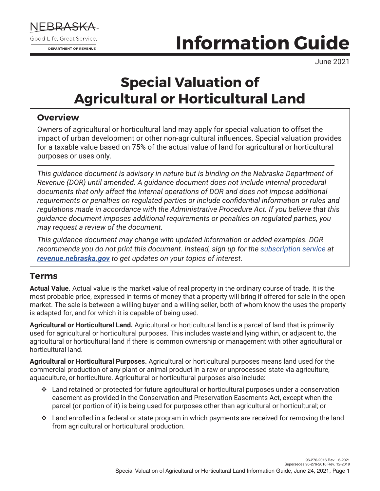

# **Information Guide**

June 2021

## **Special Valuation of Agricultural or Horticultural Land**

#### **Overview**

Owners of agricultural or horticultural land may apply for special valuation to offset the impact of urban development or other non-agricultural influences. Special valuation provides for a taxable value based on 75% of the actual value of land for agricultural or horticultural purposes or uses only.

*This guidance document is advisory in nature but is binding on the Nebraska Department of Revenue (DOR) until amended. A guidance document does not include internal procedural documents that only affect the internal operations of DOR and does not impose additional requirements or penalties on regulated parties or include confidential information or rules and regulations made in accordance with the Administrative Procedure Act. If you believe that this guidance document imposes additional requirements or penalties on regulated parties, you may request a review of the document.*

*This guidance document may change with updated information or added examples. DOR recommends you do not print this document. Instead, sign up for the [subscription service](https://public.govdelivery.com/accounts/NEREV/subscriber/new) at [revenue.nebraska.gov](https://revenue.nebraska.gov/) to get updates on your topics of interest.*

#### **Terms**

**Actual Value.** Actual value is the market value of real property in the ordinary course of trade. It is the most probable price, expressed in terms of money that a property will bring if offered for sale in the open market. The sale is between a willing buyer and a willing seller, both of whom know the uses the property is adapted for, and for which it is capable of being used.

**Agricultural or Horticultural Land.** Agricultural or horticultural land is a parcel of land that is primarily used for agricultural or horticultural purposes. This includes wasteland lying within, or adjacent to, the agricultural or horticultural land if there is common ownership or management with other agricultural or horticultural land.

**Agricultural or Horticultural Purposes.** Agricultural or horticultural purposes means land used for the commercial production of any plant or animal product in a raw or unprocessed state via agriculture, aquaculture, or horticulture. Agricultural or horticultural purposes also include:

- $\cdot$  Land retained or protected for future agricultural or horticultural purposes under a conservation easement as provided in the Conservation and Preservation Easements Act, except when the parcel (or portion of it) is being used for purposes other than agricultural or horticultural; or
- $\cdot$  Land enrolled in a federal or state program in which payments are received for removing the land from agricultural or horticultural production.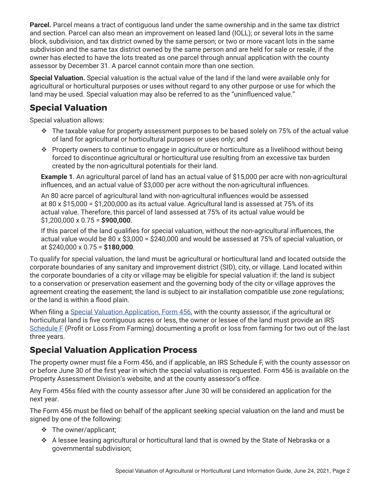**Parcel.** Parcel means a tract of contiguous land under the same ownership and in the same tax district and section. Parcel can also mean an improvement on leased land (IOLL); or several lots in the same block, subdivision, and tax district owned by the same person; or two or more vacant lots in the same subdivision and the same tax district owned by the same person and are held for sale or resale, if the owner has elected to have the lots treated as one parcel through annual application with the county assessor by December 31. A parcel cannot contain more than one section.

**Special Valuation.** Special valuation is the actual value of the land if the land were available only for agricultural or horticultural purposes or uses without regard to any other purpose or use for which the land may be used. Special valuation may also be referred to as the "uninfluenced value."

#### **Special Valuation**

Special valuation allows:

- $\cdot \cdot$  The taxable value for property assessment purposes to be based solely on 75% of the actual value of land for agricultural or horticultural purposes or uses only; and
- \* Property owners to continue to engage in agriculture or horticulture as a livelihood without being forced to discontinue agricultural or horticultural use resulting from an excessive tax burden created by the non‑agricultural potentials for their land.

**Example 1**. An agricultural parcel of land has an actual value of \$15,000 per acre with non-agricultural influences, and an actual value of \$3,000 per acre without the non-agricultural influences.

An 80 acre parcel of agricultural land with non-agricultural influences would be assessed at 80 x \$15,000 = \$1,200,000 as its actual value. Agricultural land is assessed at 75% of its actual value. Therefore, this parcel of land assessed at 75% of its actual value would be \$1,200,000 x 0.75 = **\$900,000**.

If this parcel of the land qualifies for special valuation, without the non-agricultural influences, the actual value would be 80 x \$3,000 = \$240,000 and would be assessed at 75% of special valuation, or at \$240,000 x 0.75 = **\$180,000**.

To qualify for special valuation, the land must be agricultural or horticultural land and located outside the corporate boundaries of any sanitary and improvement district (SID), city, or village. Land located within the corporate boundaries of a city or village may be eligible for special valuation if: the land is subject to a conservation or preservation easement and the governing body of the city or village approves the agreement creating the easement; the land is subject to air installation compatible use zone regulations; or the land is within a flood plain.

When filing a [Special Valuation Application, Form 456](https://revenue.nebraska.gov/files/doc/pad/forms/456_Special_Valuation_App-1.pdf), with the county assessor, if the agricultural or horticultural land is five contiguous acres or less, the owner or lessee of the land must provide an IRS [Schedule F](https://www.irs.gov/pub/irs-prior/f1040sf--2020.pdf) (Profit or Loss From Farming) documenting a profit or loss from farming for two out of the last three years.

#### **Special Valuation Application Process**

The property owner must file a Form 456, and if applicable, an IRS Schedule F, with the county assessor on or before June 30 of the first year in which the special valuation is requested. Form 456 is available on the Property Assessment Division's website, and at the county assessor's office.

Any Form 456s filed with the county assessor after June 30 will be considered an application for the next year.

The Form 456 must be filed on behalf of the applicant seeking special valuation on the land and must be signed by one of the following:

- $\div$  The owner/applicant;
- v A lessee leasing agricultural or horticultural land that is owned by the State of Nebraska or a governmental subdivision;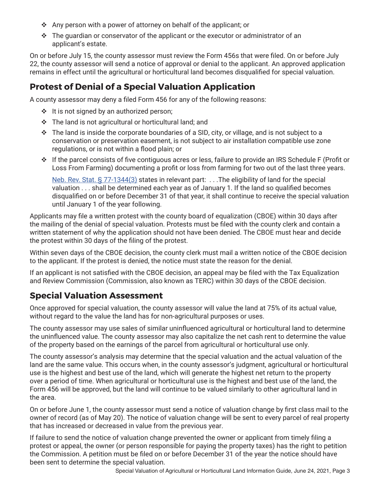- $\div$  Any person with a power of attorney on behalf of the applicant; or
- $\cdot \cdot$  The quardian or conservator of the applicant or the executor or administrator of an applicant's estate.

On or before July 15, the county assessor must review the Form 456s that were filed. On or before July 22, the county assessor will send a notice of approval or denial to the applicant. An approved application remains in effect until the agricultural or horticultural land becomes disqualified for special valuation.

#### **Protest of Denial of a Special Valuation Application**

A county assessor may deny a filed Form 456 for any of the following reasons:

- $\cdot \cdot$  It is not signed by an authorized person;
- $\cdot$  The land is not agricultural or horticultural land; and
- $\cdot \cdot$  The land is inside the corporate boundaries of a SID, city, or village, and is not subject to a conservation or preservation easement, is not subject to air installation compatible use zone regulations, or is not within a flood plain; or
- $\cdot \cdot$  If the parcel consists of five contiguous acres or less, failure to provide an IRS Schedule F (Profit or Loss From Farming) documenting a profit or loss from farming for two out of the last three years.

[Neb. Rev. Stat. § 77-1344\(3\)](https://nebraskalegislature.gov/laws/statutes.php?statute=77-1344) states in relevant part: . . . The eligibility of land for the special valuation . . . shall be determined each year as of January 1. If the land so qualified becomes disqualified on or before December 31 of that year, it shall continue to receive the special valuation until January 1 of the year following.

Applicants may file a written protest with the county board of equalization (CBOE) within 30 days after the mailing of the denial of special valuation. Protests must be filed with the county clerk and contain a written statement of why the application should not have been denied. The CBOE must hear and decide the protest within 30 days of the filing of the protest.

Within seven days of the CBOE decision, the county clerk must mail a written notice of the CBOE decision to the applicant. If the protest is denied, the notice must state the reason for the denial.

If an applicant is not satisfied with the CBOE decision, an appeal may be filed with the Tax Equalization and Review Commission (Commission, also known as TERC) within 30 days of the CBOE decision.

#### **Special Valuation Assessment**

Once approved for special valuation, the county assessor will value the land at 75% of its actual value, without regard to the value the land has for non-agricultural purposes or uses.

The county assessor may use sales of similar uninfluenced agricultural or horticultural land to determine the uninfluenced value. The county assessor may also capitalize the net cash rent to determine the value of the property based on the earnings of the parcel from agricultural or horticultural use only.

The county assessor's analysis may determine that the special valuation and the actual valuation of the land are the same value. This occurs when, in the county assessor's judgment, agricultural or horticultural use is the highest and best use of the land, which will generate the highest net return to the property over a period of time. When agricultural or horticultural use is the highest and best use of the land, the Form 456 will be approved, but the land will continue to be valued similarly to other agricultural land in the area.

On or before June 1, the county assessor must send a notice of valuation change by first class mail to the owner of record (as of May 20). The notice of valuation change will be sent to every parcel of real property that has increased or decreased in value from the previous year.

If failure to send the notice of valuation change prevented the owner or applicant from timely filing a protest or appeal, the owner (or person responsible for paying the property taxes) has the right to petition the Commission. A petition must be filed on or before December 31 of the year the notice should have been sent to determine the special valuation.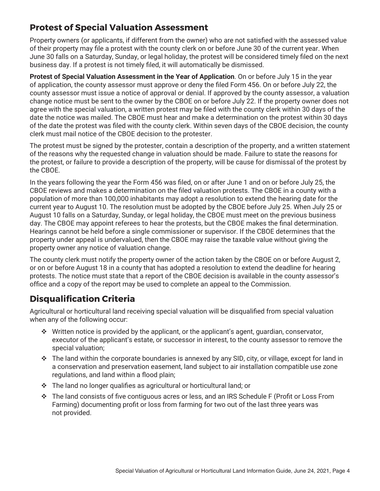#### **Protest of Special Valuation Assessment**

Property owners (or applicants, if different from the owner) who are not satisfied with the assessed value of their property may file a protest with the county clerk on or before June 30 of the current year. When June 30 falls on a Saturday, Sunday, or legal holiday, the protest will be considered timely filed on the next business day. If a protest is not timely filed, it will automatically be dismissed.

**Protest of Special Valuation Assessment in the Year of Application**. On or before July 15 in the year of application, the county assessor must approve or deny the filed Form 456. On or before July 22, the county assessor must issue a notice of approval or denial. If approved by the county assessor, a valuation change notice must be sent to the owner by the CBOE on or before July 22. If the property owner does not agree with the special valuation, a written protest may be filed with the county clerk within 30 days of the date the notice was mailed. The CBOE must hear and make a determination on the protest within 30 days of the date the protest was filed with the county clerk. Within seven days of the CBOE decision, the county clerk must mail notice of the CBOE decision to the protester.

The protest must be signed by the protester, contain a description of the property, and a written statement of the reasons why the requested change in valuation should be made. Failure to state the reasons for the protest, or failure to provide a description of the property, will be cause for dismissal of the protest by the CBOE.

In the years following the year the Form 456 was filed, on or after June 1 and on or before July 25, the CBOE reviews and makes a determination on the filed valuation protests. The CBOE in a county with a population of more than 100,000 inhabitants may adopt a resolution to extend the hearing date for the current year to August 10. The resolution must be adopted by the CBOE before July 25. When July 25 or August 10 falls on a Saturday, Sunday, or legal holiday, the CBOE must meet on the previous business day. The CBOE may appoint referees to hear the protests, but the CBOE makes the final determination. Hearings cannot be held before a single commissioner or supervisor. If the CBOE determines that the property under appeal is undervalued, then the CBOE may raise the taxable value without giving the property owner any notice of valuation change.

The county clerk must notify the property owner of the action taken by the CBOE on or before August 2, or on or before August 18 in a county that has adopted a resolution to extend the deadline for hearing protests. The notice must state that a report of the CBOE decision is available in the county assessor's office and a copy of the report may be used to complete an appeal to the Commission.

### **Disqualification Criteria**

Agricultural or horticultural land receiving special valuation will be disqualified from special valuation when any of the following occur:

- $\cdot \cdot$  Written notice is provided by the applicant, or the applicant's agent, guardian, conservator, executor of the applicant's estate, or successor in interest, to the county assessor to remove the special valuation;
- $\cdot \cdot$  The land within the corporate boundaries is annexed by any SID, city, or village, except for land in a conservation and preservation easement, land subject to air installation compatible use zone regulations, and land within a flood plain;
- $\cdot$  The land no longer qualifies as agricultural or horticultural land; or
- $\cdot \cdot$  The land consists of five contiguous acres or less, and an IRS Schedule F (Profit or Loss From Farming) documenting profit or loss from farming for two out of the last three years was not provided.